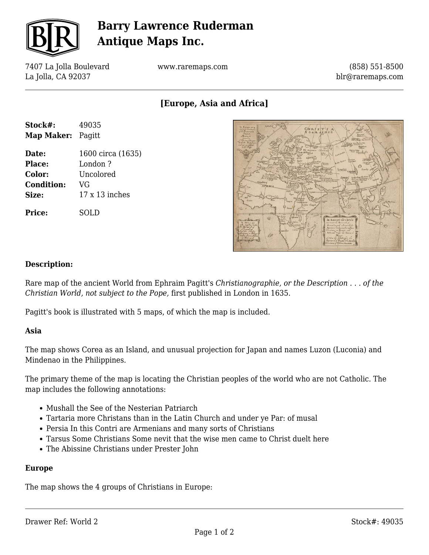

# **Barry Lawrence Ruderman Antique Maps Inc.**

7407 La Jolla Boulevard La Jolla, CA 92037

www.raremaps.com

(858) 551-8500 blr@raremaps.com

**[Europe, Asia and Africa]**

| Stock#:                  | 49035             |
|--------------------------|-------------------|
| <b>Map Maker: Pagitt</b> |                   |
| Date:                    | 1600 circa (1635) |
| Place:                   | London?           |
| Color:                   | Uncolored         |
| <b>Condition:</b>        | VG                |
| Size:                    | $17x13$ inches    |
| Price:                   | SOLD              |



### **Description:**

Rare map of the ancient World from Ephraim Pagitt's *Christianographie, or the Description . . . of the Christian World, not subject to the Pope,* first published in London in 1635.

Pagitt's book is illustrated with 5 maps, of which the map is included.

#### **Asia**

The map shows Corea as an Island, and unusual projection for Japan and names Luzon (Luconia) and Mindenao in the Philippines.

The primary theme of the map is locating the Christian peoples of the world who are not Catholic. The map includes the following annotations:

- Mushall the See of the Nesterian Patriarch
- Tartaria more Christans than in the Latin Church and under ye Par: of musal
- Persia In this Contri are Armenians and many sorts of Christians
- Tarsus Some Christians Some nevit that the wise men came to Christ duelt here
- The Abissine Christians under Prester John

#### **Europe**

The map shows the 4 groups of Christians in Europe: